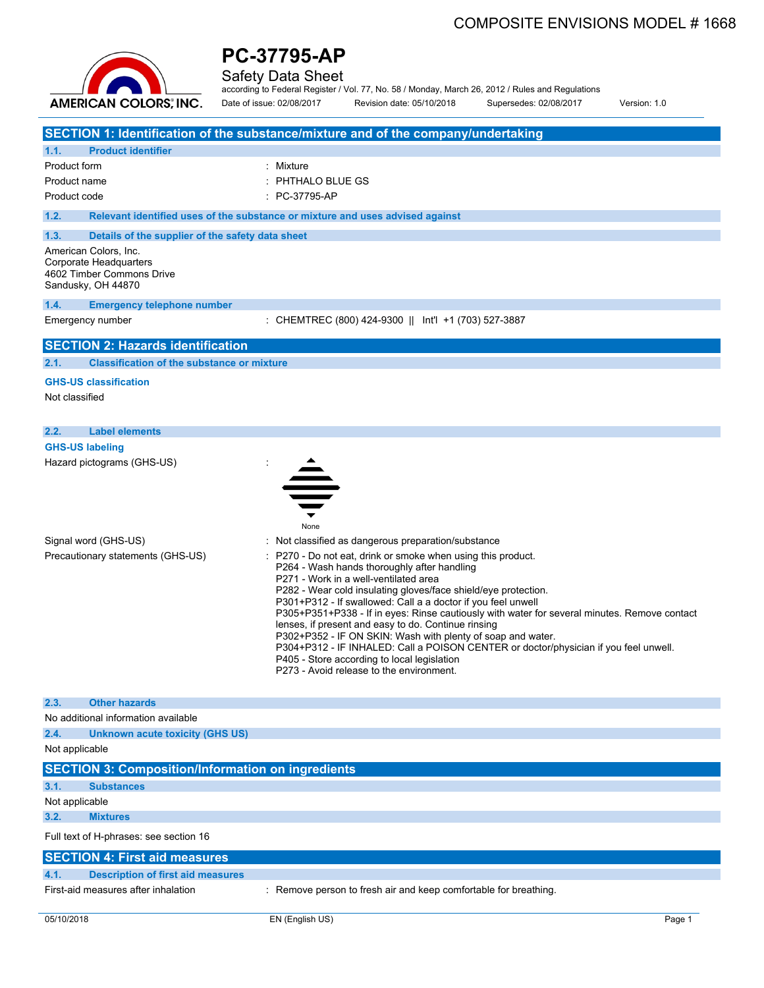

Safety Data Sheet

according to Federal Register / Vol. 77, No. 58 / Monday, March 26, 2012 / Rules and Regulations Date of issue: 02/08/2017 Revision date: 05/10/2018 Supersedes: 02/08/2017 Version: 1.0

|                |                                                                           | SECTION 1: Identification of the substance/mixture and of the company/undertaking                                                                                                                                                                                                                                                                                                                                                                                                                                                                                                                                               |
|----------------|---------------------------------------------------------------------------|---------------------------------------------------------------------------------------------------------------------------------------------------------------------------------------------------------------------------------------------------------------------------------------------------------------------------------------------------------------------------------------------------------------------------------------------------------------------------------------------------------------------------------------------------------------------------------------------------------------------------------|
| 1.1.           | <b>Product identifier</b>                                                 |                                                                                                                                                                                                                                                                                                                                                                                                                                                                                                                                                                                                                                 |
| Product form   |                                                                           | : Mixture                                                                                                                                                                                                                                                                                                                                                                                                                                                                                                                                                                                                                       |
| Product name   |                                                                           | PHTHALO BLUE GS                                                                                                                                                                                                                                                                                                                                                                                                                                                                                                                                                                                                                 |
| Product code   |                                                                           | PC-37795-AP                                                                                                                                                                                                                                                                                                                                                                                                                                                                                                                                                                                                                     |
| 1.2.           |                                                                           | Relevant identified uses of the substance or mixture and uses advised against                                                                                                                                                                                                                                                                                                                                                                                                                                                                                                                                                   |
|                |                                                                           |                                                                                                                                                                                                                                                                                                                                                                                                                                                                                                                                                                                                                                 |
| 1.3.           | Details of the supplier of the safety data sheet<br>American Colors, Inc. |                                                                                                                                                                                                                                                                                                                                                                                                                                                                                                                                                                                                                                 |
|                | Corporate Headquarters<br>4602 Timber Commons Drive<br>Sandusky, OH 44870 |                                                                                                                                                                                                                                                                                                                                                                                                                                                                                                                                                                                                                                 |
| 1.4.           | <b>Emergency telephone number</b>                                         |                                                                                                                                                                                                                                                                                                                                                                                                                                                                                                                                                                                                                                 |
|                | Emergency number                                                          | : CHEMTREC (800) 424-9300    lnt'l +1 (703) 527-3887                                                                                                                                                                                                                                                                                                                                                                                                                                                                                                                                                                            |
|                | <b>SECTION 2: Hazards identification</b>                                  |                                                                                                                                                                                                                                                                                                                                                                                                                                                                                                                                                                                                                                 |
| 2.1.           | <b>Classification of the substance or mixture</b>                         |                                                                                                                                                                                                                                                                                                                                                                                                                                                                                                                                                                                                                                 |
|                | <b>GHS-US classification</b>                                              |                                                                                                                                                                                                                                                                                                                                                                                                                                                                                                                                                                                                                                 |
| Not classified |                                                                           |                                                                                                                                                                                                                                                                                                                                                                                                                                                                                                                                                                                                                                 |
| 2.2.           | <b>Label elements</b>                                                     |                                                                                                                                                                                                                                                                                                                                                                                                                                                                                                                                                                                                                                 |
|                | <b>GHS-US labeling</b>                                                    |                                                                                                                                                                                                                                                                                                                                                                                                                                                                                                                                                                                                                                 |
|                | Hazard pictograms (GHS-US)                                                |                                                                                                                                                                                                                                                                                                                                                                                                                                                                                                                                                                                                                                 |
|                | Signal word (GHS-US)<br>Precautionary statements (GHS-US)                 | None<br>: Not classified as dangerous preparation/substance<br>P270 - Do not eat, drink or smoke when using this product.                                                                                                                                                                                                                                                                                                                                                                                                                                                                                                       |
|                |                                                                           | P264 - Wash hands thoroughly after handling<br>P271 - Work in a well-ventilated area<br>P282 - Wear cold insulating gloves/face shield/eye protection.<br>P301+P312 - If swallowed: Call a a doctor if you feel unwell<br>P305+P351+P338 - If in eyes: Rinse cautiously with water for several minutes. Remove contact<br>lenses, if present and easy to do. Continue rinsing<br>P302+P352 - IF ON SKIN: Wash with plenty of soap and water.<br>P304+P312 - IF INHALED: Call a POISON CENTER or doctor/physician if you feel unwell.<br>P405 - Store according to local legislation<br>P273 - Avoid release to the environment. |
| 2.3.           | <b>Other hazards</b>                                                      |                                                                                                                                                                                                                                                                                                                                                                                                                                                                                                                                                                                                                                 |
|                | No additional information available                                       |                                                                                                                                                                                                                                                                                                                                                                                                                                                                                                                                                                                                                                 |
| 2.4.           | <b>Unknown acute toxicity (GHS US)</b>                                    |                                                                                                                                                                                                                                                                                                                                                                                                                                                                                                                                                                                                                                 |
| Not applicable |                                                                           |                                                                                                                                                                                                                                                                                                                                                                                                                                                                                                                                                                                                                                 |
|                | <b>SECTION 3: Composition/Information on ingredients</b>                  |                                                                                                                                                                                                                                                                                                                                                                                                                                                                                                                                                                                                                                 |
| 3.1.           | <b>Substances</b>                                                         |                                                                                                                                                                                                                                                                                                                                                                                                                                                                                                                                                                                                                                 |
| Not applicable |                                                                           |                                                                                                                                                                                                                                                                                                                                                                                                                                                                                                                                                                                                                                 |
| 3.2.           | <b>Mixtures</b>                                                           |                                                                                                                                                                                                                                                                                                                                                                                                                                                                                                                                                                                                                                 |
|                | Full text of H-phrases: see section 16                                    |                                                                                                                                                                                                                                                                                                                                                                                                                                                                                                                                                                                                                                 |
|                | <b>SECTION 4: First aid measures</b>                                      |                                                                                                                                                                                                                                                                                                                                                                                                                                                                                                                                                                                                                                 |
| 4.1.           | <b>Description of first aid measures</b>                                  |                                                                                                                                                                                                                                                                                                                                                                                                                                                                                                                                                                                                                                 |
|                | First-aid measures after inhalation                                       | : Remove person to fresh air and keep comfortable for breathing.                                                                                                                                                                                                                                                                                                                                                                                                                                                                                                                                                                |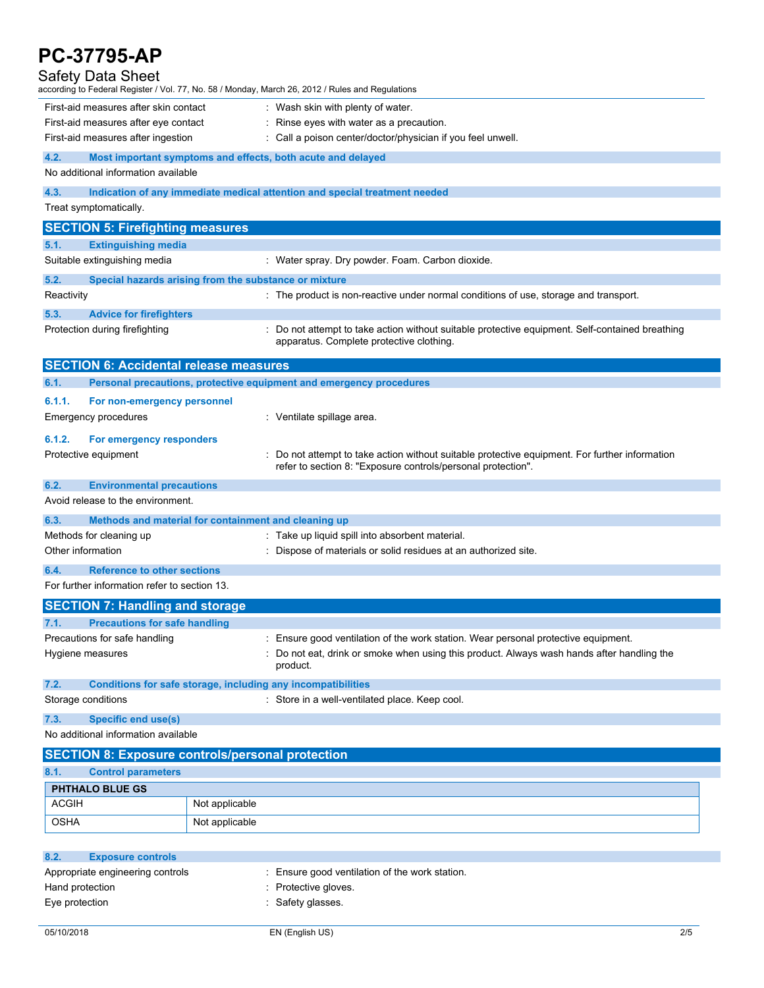| <b>PC-37795-AP</b>                                                       |                                                                                                                                                                |  |  |  |  |  |
|--------------------------------------------------------------------------|----------------------------------------------------------------------------------------------------------------------------------------------------------------|--|--|--|--|--|
| Safety Data Sheet                                                        | according to Federal Register / Vol. 77, No. 58 / Monday, March 26, 2012 / Rules and Regulations                                                               |  |  |  |  |  |
| First-aid measures after skin contact                                    | : Wash skin with plenty of water.                                                                                                                              |  |  |  |  |  |
| First-aid measures after eye contact                                     | : Rinse eyes with water as a precaution.                                                                                                                       |  |  |  |  |  |
| First-aid measures after ingestion                                       | : Call a poison center/doctor/physician if you feel unwell.                                                                                                    |  |  |  |  |  |
| 4.2.<br>No additional information available                              | Most important symptoms and effects, both acute and delayed                                                                                                    |  |  |  |  |  |
| 4.3.                                                                     | Indication of any immediate medical attention and special treatment needed                                                                                     |  |  |  |  |  |
| Treat symptomatically.                                                   |                                                                                                                                                                |  |  |  |  |  |
| <b>SECTION 5: Firefighting measures</b>                                  |                                                                                                                                                                |  |  |  |  |  |
| 5.1.<br><b>Extinguishing media</b>                                       |                                                                                                                                                                |  |  |  |  |  |
| Suitable extinguishing media                                             | : Water spray. Dry powder. Foam. Carbon dioxide.                                                                                                               |  |  |  |  |  |
| 5.2.                                                                     | Special hazards arising from the substance or mixture                                                                                                          |  |  |  |  |  |
| Reactivity                                                               | : The product is non-reactive under normal conditions of use, storage and transport.                                                                           |  |  |  |  |  |
| 5.3.<br><b>Advice for firefighters</b><br>Protection during firefighting | : Do not attempt to take action without suitable protective equipment. Self-contained breathing<br>apparatus. Complete protective clothing.                    |  |  |  |  |  |
| <b>SECTION 6: Accidental release measures</b>                            |                                                                                                                                                                |  |  |  |  |  |
| 6.1.                                                                     | Personal precautions, protective equipment and emergency procedures                                                                                            |  |  |  |  |  |
| 6.1.1.<br>For non-emergency personnel                                    |                                                                                                                                                                |  |  |  |  |  |
| Emergency procedures                                                     | : Ventilate spillage area.                                                                                                                                     |  |  |  |  |  |
| 6.1.2.<br>For emergency responders                                       |                                                                                                                                                                |  |  |  |  |  |
| Protective equipment                                                     | : Do not attempt to take action without suitable protective equipment. For further information<br>refer to section 8: "Exposure controls/personal protection". |  |  |  |  |  |
| 6.2.<br><b>Environmental precautions</b>                                 |                                                                                                                                                                |  |  |  |  |  |
| Avoid release to the environment.                                        |                                                                                                                                                                |  |  |  |  |  |
| 6.3.                                                                     | Methods and material for containment and cleaning up                                                                                                           |  |  |  |  |  |
| Methods for cleaning up                                                  | : Take up liquid spill into absorbent material.                                                                                                                |  |  |  |  |  |
| Other information                                                        | : Dispose of materials or solid residues at an authorized site.                                                                                                |  |  |  |  |  |
| <b>Reference to other sections</b><br>6.4.                               |                                                                                                                                                                |  |  |  |  |  |
| For further information refer to section 13.                             |                                                                                                                                                                |  |  |  |  |  |
| <b>SECTION 7: Handling and storage</b>                                   |                                                                                                                                                                |  |  |  |  |  |
| <b>Precautions for safe handling</b><br>7.1.                             |                                                                                                                                                                |  |  |  |  |  |
| Precautions for safe handling                                            | : Ensure good ventilation of the work station. Wear personal protective equipment.                                                                             |  |  |  |  |  |
| Hygiene measures                                                         | : Do not eat, drink or smoke when using this product. Always wash hands after handling the<br>product.                                                         |  |  |  |  |  |
| 7.2.                                                                     | Conditions for safe storage, including any incompatibilities                                                                                                   |  |  |  |  |  |
| Storage conditions                                                       | : Store in a well-ventilated place. Keep cool.                                                                                                                 |  |  |  |  |  |
| 7.3.<br><b>Specific end use(s)</b>                                       |                                                                                                                                                                |  |  |  |  |  |
| No additional information available                                      |                                                                                                                                                                |  |  |  |  |  |
|                                                                          | <b>SECTION 8: Exposure controls/personal protection</b>                                                                                                        |  |  |  |  |  |
| 8.1.<br><b>Control parameters</b>                                        |                                                                                                                                                                |  |  |  |  |  |
| PHTHALO BLUE GS                                                          |                                                                                                                                                                |  |  |  |  |  |
| <b>ACGIH</b>                                                             | Not applicable                                                                                                                                                 |  |  |  |  |  |
| OSHA                                                                     | Not applicable                                                                                                                                                 |  |  |  |  |  |
|                                                                          |                                                                                                                                                                |  |  |  |  |  |
| 8.2.<br><b>Exposure controls</b>                                         |                                                                                                                                                                |  |  |  |  |  |
| Appropriate engineering controls                                         | : Ensure good ventilation of the work station.                                                                                                                 |  |  |  |  |  |
| Hand protection                                                          | : Protective gloves.                                                                                                                                           |  |  |  |  |  |
| Eye protection                                                           | : Safety glasses.                                                                                                                                              |  |  |  |  |  |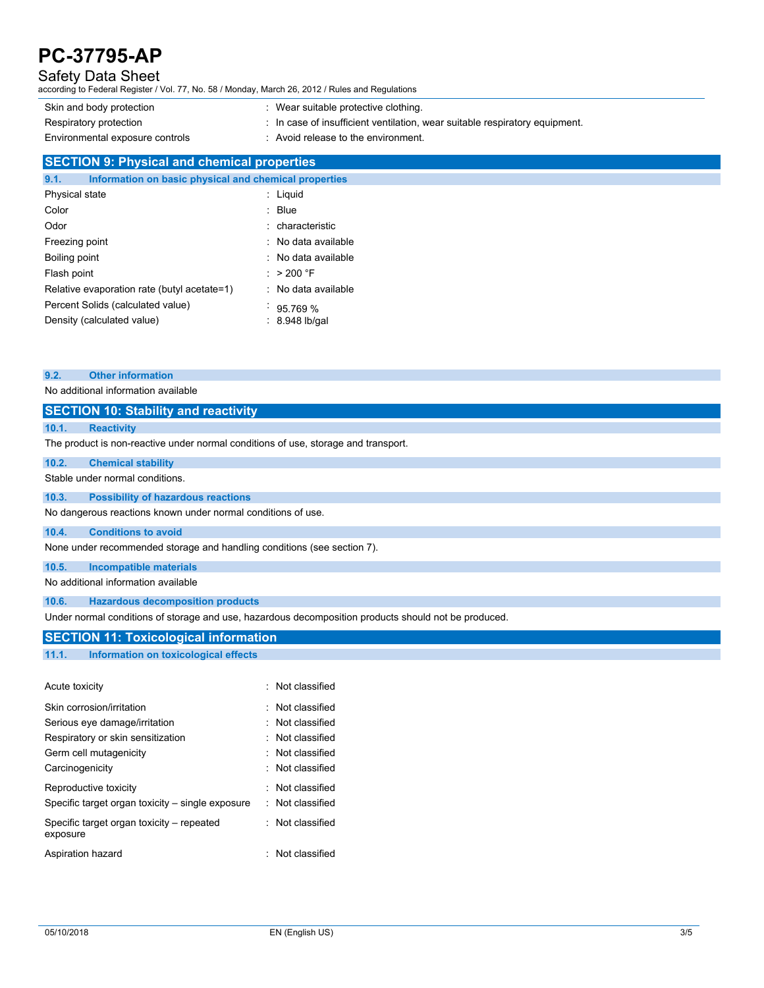# Safety Data Sheet

according to Federal Register / Vol. 77, No. 58 / Monday, March 26, 2012 / Rules and Regulations

Skin and body protection : Wear suitable protective clothing. Respiratory protection : In case of insufficient ventilation, wear suitable respiratory equipment. Environmental exposure controls : Avoid release to the environment.

# **SECTION 9: Physical and chemical properties**

| 9.1.                                        | Information on basic physical and chemical properties |  |                     |
|---------------------------------------------|-------------------------------------------------------|--|---------------------|
| <b>Physical state</b>                       |                                                       |  | : Liguid            |
| Color                                       |                                                       |  | : Blue              |
| Odor                                        |                                                       |  | : characteristic    |
| Freezing point                              |                                                       |  | : No data available |
| Boiling point                               |                                                       |  | : No data available |
| Flash point                                 |                                                       |  | : $>200$ °F         |
| Relative evaporation rate (butyl acetate=1) |                                                       |  | : No data available |
| Percent Solids (calculated value)           |                                                       |  | 95.769 %            |
| Density (calculated value)                  |                                                       |  | $: 8.948$ lb/gal    |

#### **9.2. Other information**

No additional information available

# **SECTION 10: Stability and reactivity**

### **10.1. Reactivity**

The product is non-reactive under normal conditions of use, storage and transport.

#### **10.2. Chemical stability**

#### Stable under normal conditions.

#### **10.3. Possibility of hazardous reactions**

No dangerous reactions known under normal conditions of use.

#### **10.4. Conditions to avoid**

None under recommended storage and handling conditions (see section 7).

# **10.5. Incompatible materials**

No additional information available

#### **10.6. Hazardous decomposition products**

Under normal conditions of storage and use, hazardous decomposition products should not be produced.

# **SECTION 11: Toxicological information**

**11.1. Information on toxicological effects**

| Acute toxicity                                                            | : Not classified                     |
|---------------------------------------------------------------------------|--------------------------------------|
| Skin corrosion/irritation                                                 | : Not classified                     |
| Serious eye damage/irritation                                             | Not classified                       |
| Respiratory or skin sensitization                                         | : Not classified                     |
| Germ cell mutagenicity                                                    | : Not classified                     |
| Carcinogenicity                                                           | : Not classified                     |
| Reproductive toxicity<br>Specific target organ toxicity – single exposure | · Not classified<br>: Not classified |
| Specific target organ toxicity – repeated<br>exposure                     | · Not classified                     |
| Aspiration hazard                                                         | Not classified                       |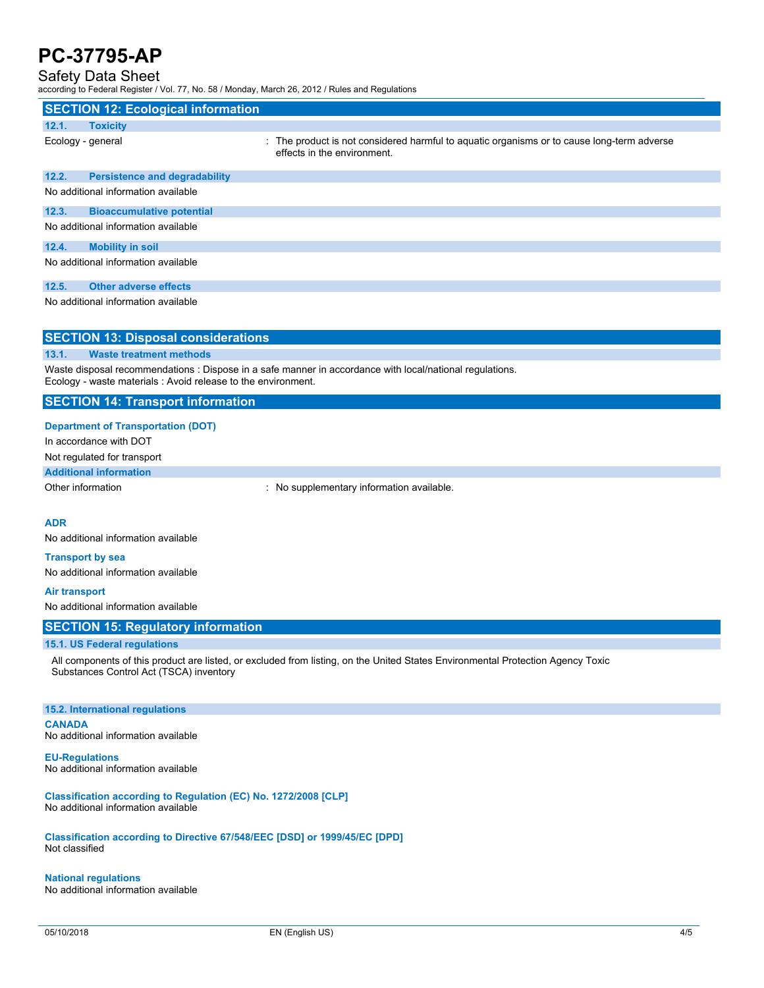# Safety Data Sheet

according to Federal Register / Vol. 77, No. 58 / Monday, March 26, 2012 / Rules and Regulations

| according to Federal Register / VOI. 77, NO. 307 Monday, March 20, 2012 / Rules and Regulations |                                           |                                                                                                                           |  |  |  |
|-------------------------------------------------------------------------------------------------|-------------------------------------------|---------------------------------------------------------------------------------------------------------------------------|--|--|--|
|                                                                                                 | <b>SECTION 12: Ecological information</b> |                                                                                                                           |  |  |  |
| 12.1.                                                                                           | <b>Toxicity</b>                           |                                                                                                                           |  |  |  |
|                                                                                                 | Ecology - general                         | : The product is not considered harmful to aguatic organisms or to cause long-term adverse<br>effects in the environment. |  |  |  |
| 12.2.                                                                                           | <b>Persistence and degradability</b>      |                                                                                                                           |  |  |  |
| No additional information available                                                             |                                           |                                                                                                                           |  |  |  |
| 12.3.                                                                                           | <b>Bioaccumulative potential</b>          |                                                                                                                           |  |  |  |
|                                                                                                 | No additional information available       |                                                                                                                           |  |  |  |
| 12.4.                                                                                           | <b>Mobility in soil</b>                   |                                                                                                                           |  |  |  |
| No additional information available                                                             |                                           |                                                                                                                           |  |  |  |
| 12.5.                                                                                           | <b>Other adverse effects</b>              |                                                                                                                           |  |  |  |
| No additional information available                                                             |                                           |                                                                                                                           |  |  |  |

## **SECTION 13: Disposal considerations**

### **13.1. Waste treatment methods**

Waste disposal recommendations : Dispose in a safe manner in accordance with local/national regulations. Ecology - waste materials : Avoid release to the environment.

# **SECTION 14: Transport information**

### **Department of Transportation (DOT)**

In accordance with DOT

## Not regulated for transport

# **Additional information**

Other information **contains the contact of the contact of the contact of the contact of the contact of the contact of the contact of the contact of the contact of the contact of the contact of the contact of the contact of** 

## **ADR**

No additional information available

# **Transport by sea**

No additional information available

### **Air transport**

No additional information available

# **SECTION 15: Regulatory information**

# **15.1. US Federal regulations**

All components of this product are listed, or excluded from listing, on the United States Environmental Protection Agency Toxic Substances Control Act (TSCA) inventory

## **15.2. International regulations**

**CANADA** No additional information available

**EU-Regulations** No additional information available

#### **Classification according to Regulation (EC) No. 1272/2008 [CLP]** No additional information available

**Classification according to Directive 67/548/EEC [DSD] or 1999/45/EC [DPD]** Not classified

## **National regulations**

No additional information available